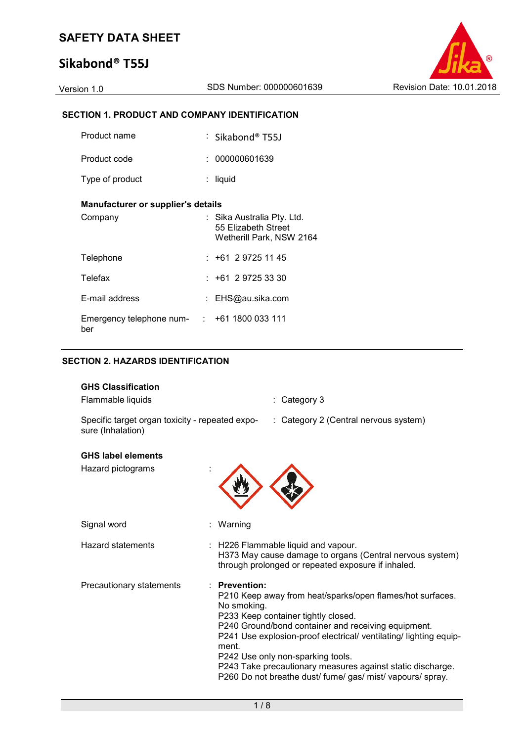# **Sikabond® T55J**



## **SECTION 1. PRODUCT AND COMPANY IDENTIFICATION**

| Product name                                       | : Sikabond® T55J                                                              |
|----------------------------------------------------|-------------------------------------------------------------------------------|
| Product code                                       | : 000000601639                                                                |
| Type of product                                    | liquid                                                                        |
| Manufacturer or supplier's details                 |                                                                               |
| Company                                            | : Sika Australia Pty. Ltd.<br>55 Elizabeth Street<br>Wetherill Park, NSW 2164 |
| Telephone                                          | : +61 2 9725 11 45                                                            |
| Telefax                                            | $: +61 \ 2 \ 9725 \ 33 \ 30$                                                  |
| E-mail address                                     | : EHS@au.sika.com                                                             |
| Emergency telephone num- : +61 1800 033 111<br>ber |                                                                               |

## **SECTION 2. HAZARDS IDENTIFICATION**

| <b>GHS Classification</b><br>Flammable liquids                       |                                       | : Category 3                                                                                                                                                                                                                                                                                                                                                                                  |
|----------------------------------------------------------------------|---------------------------------------|-----------------------------------------------------------------------------------------------------------------------------------------------------------------------------------------------------------------------------------------------------------------------------------------------------------------------------------------------------------------------------------------------|
| Specific target organ toxicity - repeated expo-<br>sure (Inhalation) |                                       | : Category 2 (Central nervous system)                                                                                                                                                                                                                                                                                                                                                         |
| <b>GHS label elements</b><br>Hazard pictograms                       |                                       |                                                                                                                                                                                                                                                                                                                                                                                               |
| Signal word                                                          | Warning                               |                                                                                                                                                                                                                                                                                                                                                                                               |
| <b>Hazard statements</b>                                             |                                       | : H226 Flammable liquid and vapour.<br>H373 May cause damage to organs (Central nervous system)<br>through prolonged or repeated exposure if inhaled.                                                                                                                                                                                                                                         |
| Precautionary statements                                             | · Prevention:<br>No smoking.<br>ment. | P210 Keep away from heat/sparks/open flames/hot surfaces.<br>P233 Keep container tightly closed.<br>P240 Ground/bond container and receiving equipment.<br>P241 Use explosion-proof electrical/ ventilating/ lighting equip-<br>P242 Use only non-sparking tools.<br>P243 Take precautionary measures against static discharge.<br>P260 Do not breathe dust/ fume/ gas/ mist/ vapours/ spray. |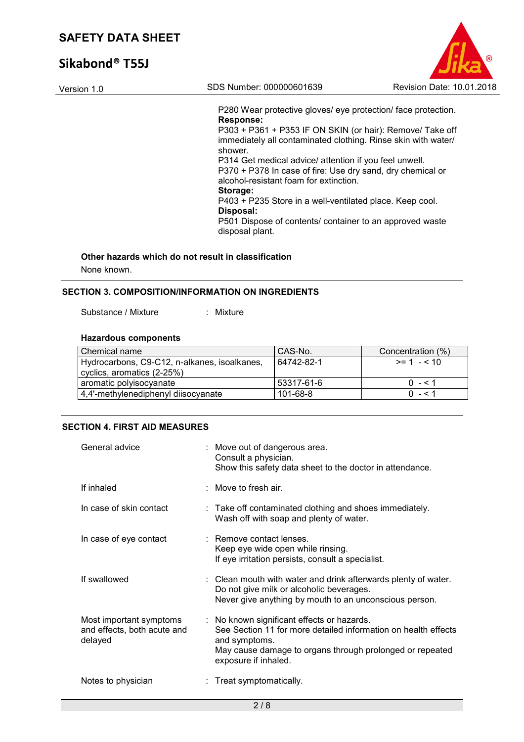# **Sikabond® T55J**

| R.                        |  |
|---------------------------|--|
| Revision Date: 10.01.2018 |  |

Version 1.0 SDS Number: 000000601639 P280 Wear protective gloves/ eye protection/ face protection. **Response:**  P303 + P361 + P353 IF ON SKIN (or hair): Remove/ Take off immediately all contaminated clothing. Rinse skin with water/ shower. P314 Get medical advice/ attention if you feel unwell. P370 + P378 In case of fire: Use dry sand, dry chemical or alcohol-resistant foam for extinction.

## **Storage:**

P403 + P235 Store in a well-ventilated place. Keep cool.

**Disposal:** 

P501 Dispose of contents/ container to an approved waste disposal plant.

### **Other hazards which do not result in classification**

None known.

### **SECTION 3. COMPOSITION/INFORMATION ON INGREDIENTS**

Substance / Mixture : Mixture

## **Hazardous components**

| I Chemical name                              | CAS-No.    | Concentration (%) |
|----------------------------------------------|------------|-------------------|
| Hydrocarbons, C9-C12, n-alkanes, isoalkanes, | 64742-82-1 | $>= 1 - 510$      |
| cyclics, aromatics (2-25%)                   |            |                   |
| aromatic polyisocyanate                      | 53317-61-6 | $0 - 1$           |
| 4,4'-methylenediphenyl diisocyanate          | 101-68-8   | $0 - 51$          |

## **SECTION 4. FIRST AID MEASURES**

| General advice                                                    | : Move out of dangerous area.<br>Consult a physician.<br>Show this safety data sheet to the doctor in attendance.                                                                                                 |
|-------------------------------------------------------------------|-------------------------------------------------------------------------------------------------------------------------------------------------------------------------------------------------------------------|
| If inhaled                                                        | : Move to fresh air.                                                                                                                                                                                              |
| In case of skin contact                                           | : Take off contaminated clothing and shoes immediately.<br>Wash off with soap and plenty of water.                                                                                                                |
| In case of eye contact                                            | : Remove contact lenses.<br>Keep eye wide open while rinsing.<br>If eye irritation persists, consult a specialist.                                                                                                |
| If swallowed                                                      | : Clean mouth with water and drink afterwards plenty of water.<br>Do not give milk or alcoholic beverages.<br>Never give anything by mouth to an unconscious person.                                              |
| Most important symptoms<br>and effects, both acute and<br>delayed | : No known significant effects or hazards.<br>See Section 11 for more detailed information on health effects<br>and symptoms.<br>May cause damage to organs through prolonged or repeated<br>exposure if inhaled. |
| Notes to physician                                                | : Treat symptomatically.                                                                                                                                                                                          |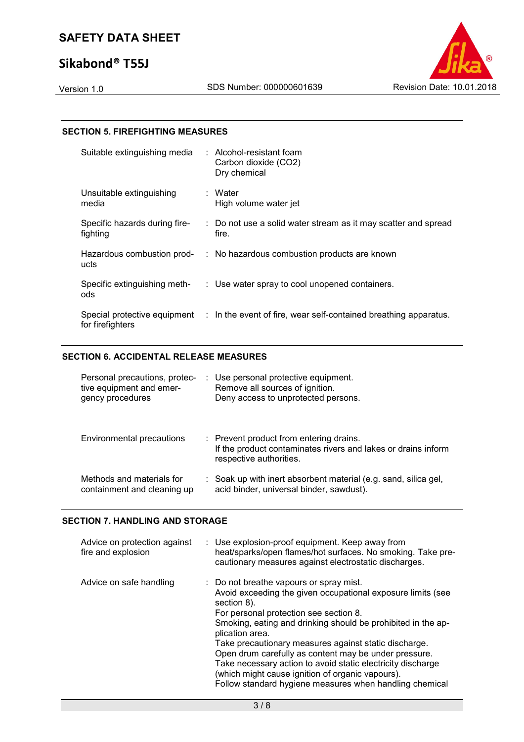# **Sikabond® T55J**



#### **SECTION 5. FIREFIGHTING MEASURES**

| Suitable extinguishing media              | $:$ Alcohol-resistant foam<br>Carbon dioxide (CO2)<br>Dry chemical                            |
|-------------------------------------------|-----------------------------------------------------------------------------------------------|
| Unsuitable extinguishing<br>media         | : Water<br>High volume water jet                                                              |
| Specific hazards during fire-<br>fighting | : Do not use a solid water stream as it may scatter and spread<br>fire.                       |
| ucts                                      | Hazardous combustion prod- : No hazardous combustion products are known                       |
| Specific extinguishing meth-<br>ods       | : Use water spray to cool unopened containers.                                                |
| for firefighters                          | Special protective equipment : In the event of fire, wear self-contained breathing apparatus. |

### **SECTION 6. ACCIDENTAL RELEASE MEASURES**

| Personal precautions, protec-<br>tive equipment and emer-<br>gency procedures | : Use personal protective equipment.<br>Remove all sources of ignition.<br>Deny access to unprotected persons.                      |
|-------------------------------------------------------------------------------|-------------------------------------------------------------------------------------------------------------------------------------|
| Environmental precautions                                                     | : Prevent product from entering drains.<br>If the product contaminates rivers and lakes or drains inform<br>respective authorities. |
| Methods and materials for<br>containment and cleaning up                      | : Soak up with inert absorbent material (e.g. sand, silica gel,<br>acid binder, universal binder, sawdust).                         |

## **SECTION 7. HANDLING AND STORAGE**

| Advice on protection against<br>fire and explosion | : Use explosion-proof equipment. Keep away from<br>heat/sparks/open flames/hot surfaces. No smoking. Take pre-<br>cautionary measures against electrostatic discharges.                                                                                                                                                                                                                                                                                                                                                                            |
|----------------------------------------------------|----------------------------------------------------------------------------------------------------------------------------------------------------------------------------------------------------------------------------------------------------------------------------------------------------------------------------------------------------------------------------------------------------------------------------------------------------------------------------------------------------------------------------------------------------|
| Advice on safe handling                            | : Do not breathe vapours or spray mist.<br>Avoid exceeding the given occupational exposure limits (see<br>section 8).<br>For personal protection see section 8.<br>Smoking, eating and drinking should be prohibited in the ap-<br>plication area.<br>Take precautionary measures against static discharge.<br>Open drum carefully as content may be under pressure.<br>Take necessary action to avoid static electricity discharge<br>(which might cause ignition of organic vapours).<br>Follow standard hygiene measures when handling chemical |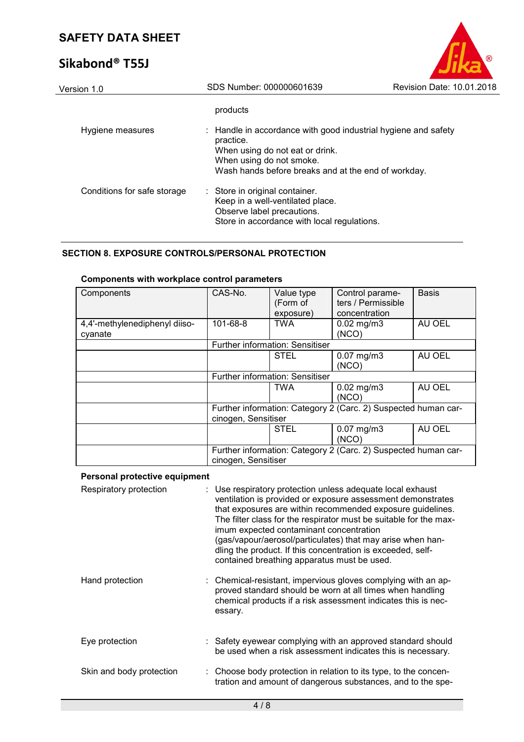# **Sikabond® T55J**

| Version 1.0                 | SDS Number: 000000601639                                                                                                                                                                          | Revision Date: 10.01.2018 |
|-----------------------------|---------------------------------------------------------------------------------------------------------------------------------------------------------------------------------------------------|---------------------------|
|                             | products                                                                                                                                                                                          |                           |
| Hygiene measures            | : Handle in accordance with good industrial hygiene and safety<br>practice.<br>When using do not eat or drink.<br>When using do not smoke.<br>Wash hands before breaks and at the end of workday. |                           |
| Conditions for safe storage | : Store in original container.<br>Keep in a well-ventilated place.<br>Observe label precautions.<br>Store in accordance with local regulations.                                                   |                           |
|                             |                                                                                                                                                                                                   |                           |

## **SECTION 8. EXPOSURE CONTROLS/PERSONAL PROTECTION**

### **Components with workplace control parameters**

| Components                               | CAS-No.                                                                               | Value type<br>(Form of<br>exposure) | Control parame-<br>ters / Permissible<br>concentration | <b>Basis</b> |
|------------------------------------------|---------------------------------------------------------------------------------------|-------------------------------------|--------------------------------------------------------|--------------|
| 4,4'-methylenediphenyl diiso-<br>cyanate | $101 - 68 - 8$                                                                        | <b>TWA</b>                          | $0.02$ mg/m $3$<br>(NCO)                               | AU OEL       |
|                                          |                                                                                       | Further information: Sensitiser     |                                                        |              |
|                                          |                                                                                       | <b>STEL</b>                         | $0.07$ mg/m $3$<br>(NCO)                               | AU OEL       |
|                                          |                                                                                       | Further information: Sensitiser     |                                                        |              |
|                                          |                                                                                       | <b>TWA</b>                          | $0.02$ mg/m $3$<br>(NCO)                               | AU OEL       |
|                                          | Further information: Category 2 (Carc. 2) Suspected human car-<br>cinogen, Sensitiser |                                     |                                                        |              |
|                                          |                                                                                       | <b>STEL</b>                         | $0.07$ mg/m $3$<br>(NCO)                               | AU OEL       |
|                                          | Further information: Category 2 (Carc. 2) Suspected human car-<br>cinogen, Sensitiser |                                     |                                                        |              |

## **Personal protective equipment**

| Respiratory protection   | : Use respiratory protection unless adequate local exhaust<br>ventilation is provided or exposure assessment demonstrates<br>that exposures are within recommended exposure guidelines.<br>The filter class for the respirator must be suitable for the max-<br>imum expected contaminant concentration<br>(gas/vapour/aerosol/particulates) that may arise when han-<br>dling the product. If this concentration is exceeded, self-<br>contained breathing apparatus must be used. |
|--------------------------|-------------------------------------------------------------------------------------------------------------------------------------------------------------------------------------------------------------------------------------------------------------------------------------------------------------------------------------------------------------------------------------------------------------------------------------------------------------------------------------|
| Hand protection          | : Chemical-resistant, impervious gloves complying with an ap-<br>proved standard should be worn at all times when handling<br>chemical products if a risk assessment indicates this is nec-<br>essary.                                                                                                                                                                                                                                                                              |
| Eye protection           | : Safety eyewear complying with an approved standard should<br>be used when a risk assessment indicates this is necessary.                                                                                                                                                                                                                                                                                                                                                          |
| Skin and body protection | : Choose body protection in relation to its type, to the concen-<br>tration and amount of dangerous substances, and to the spe-                                                                                                                                                                                                                                                                                                                                                     |

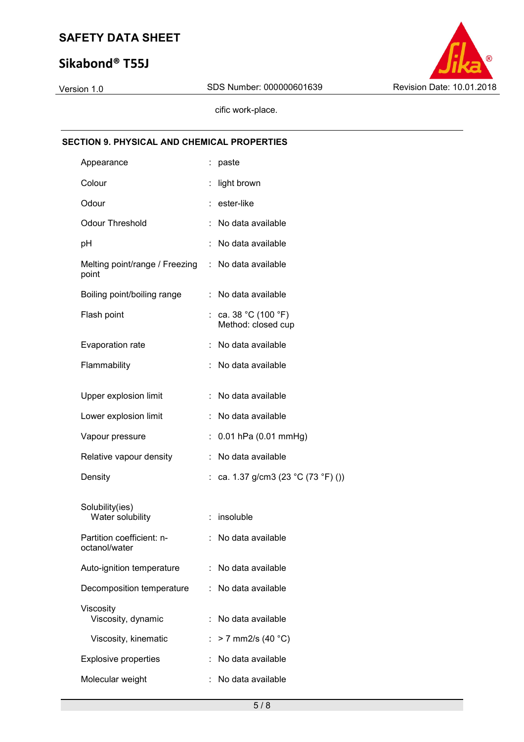# **Sikabond® T55J**



cific work-place.

# **SECTION 9. PHYSICAL AND CHEMICAL PROPERTIES**

| Appearance                              |    | : paste                                  |
|-----------------------------------------|----|------------------------------------------|
| Colour                                  |    | light brown                              |
| Odour                                   |    | : ester-like                             |
| <b>Odour Threshold</b>                  |    | : No data available                      |
| рH                                      |    | No data available                        |
| Melting point/range / Freezing<br>point |    | : No data available                      |
| Boiling point/boiling range             |    | No data available                        |
| Flash point                             |    | ca. 38 °C (100 °F)<br>Method: closed cup |
| Evaporation rate                        |    | : No data available                      |
| Flammability                            |    | No data available                        |
| Upper explosion limit                   |    | No data available                        |
| Lower explosion limit                   |    | No data available                        |
| Vapour pressure                         |    | 0.01 hPa (0.01 mmHg)                     |
| Relative vapour density                 | t. | No data available                        |
| Density                                 |    | : ca. 1.37 g/cm3 (23 °C (73 °F) ())      |
| Solubility(ies)<br>Water solubility     |    | insoluble                                |
| Partition coefficient: n-               |    | No data available                        |
| octanol/water                           |    |                                          |
| Auto-ignition temperature               |    | : No data available                      |
| Decomposition temperature               |    | : No data available                      |
| Viscosity<br>Viscosity, dynamic         |    | No data available                        |
| Viscosity, kinematic                    |    | $> 7$ mm2/s (40 °C)                      |
| <b>Explosive properties</b>             |    | No data available                        |
| Molecular weight                        |    | No data available                        |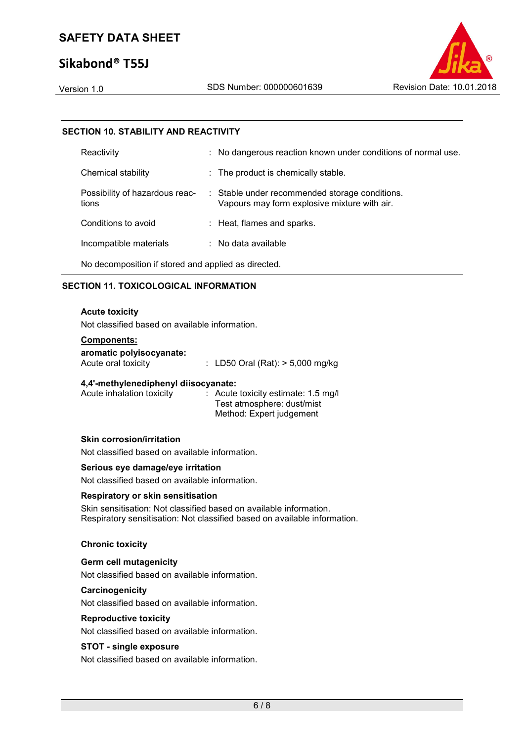# **Sikabond® T55J**

#### **SECTION 10. STABILITY AND REACTIVITY**

| Reactivity                              | : No dangerous reaction known under conditions of normal use.                                  |
|-----------------------------------------|------------------------------------------------------------------------------------------------|
| Chemical stability                      | : The product is chemically stable.                                                            |
| Possibility of hazardous reac-<br>tions | : Stable under recommended storage conditions.<br>Vapours may form explosive mixture with air. |
| Conditions to avoid                     | : Heat, flames and sparks.                                                                     |
| Incompatible materials                  | $\therefore$ No data available                                                                 |
|                                         |                                                                                                |

No decomposition if stored and applied as directed.

### **SECTION 11. TOXICOLOGICAL INFORMATION**

#### **Acute toxicity**

Not classified based on available information.

## **Components:**

**aromatic polyisocyanate:** 

Acute oral toxicity : LD50 Oral (Rat): > 5,000 mg/kg

#### **4,4'-methylenediphenyl diisocyanate:**

| Acute inhalation toxicity | $\therefore$ Acute toxicity estimate: 1.5 mg/l |
|---------------------------|------------------------------------------------|
|                           | Test atmosphere: dust/mist                     |
|                           | Method: Expert judgement                       |

### **Skin corrosion/irritation**

Not classified based on available information.

#### **Serious eye damage/eye irritation**

Not classified based on available information.

#### **Respiratory or skin sensitisation**

Skin sensitisation: Not classified based on available information. Respiratory sensitisation: Not classified based on available information.

#### **Chronic toxicity**

#### **Germ cell mutagenicity**

Not classified based on available information.

#### **Carcinogenicity**

Not classified based on available information.

#### **Reproductive toxicity**

Not classified based on available information.

#### **STOT - single exposure**

Not classified based on available information.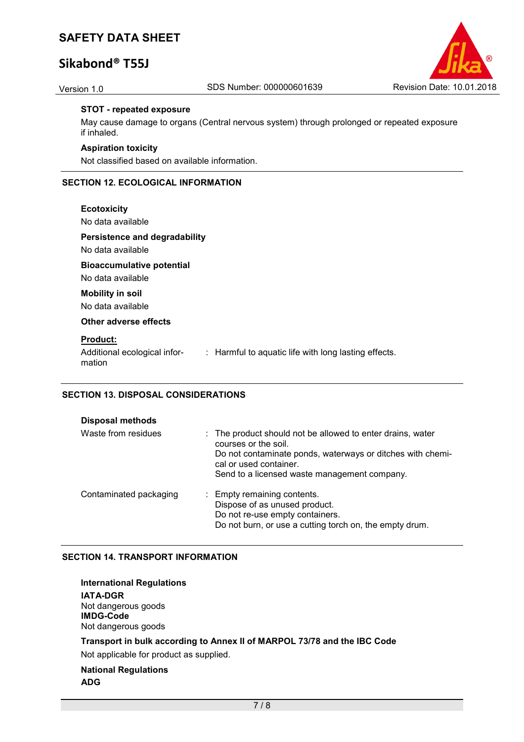# **Sikabond® T55J**



#### **STOT - repeated exposure**

May cause damage to organs (Central nervous system) through prolonged or repeated exposure if inhaled.

#### **Aspiration toxicity**

Not classified based on available information.

## **SECTION 12. ECOLOGICAL INFORMATION**

#### **Ecotoxicity**

No data available

**Persistence and degradability** 

No data available

**Bioaccumulative potential** 

No data available

# **Mobility in soil**

No data available

**Other adverse effects** 

#### **Product:**

Additional ecological information : Harmful to aquatic life with long lasting effects.

#### **SECTION 13. DISPOSAL CONSIDERATIONS**

| <b>Disposal methods</b> |                                                                                                                                                                                                                            |
|-------------------------|----------------------------------------------------------------------------------------------------------------------------------------------------------------------------------------------------------------------------|
| Waste from residues     | : The product should not be allowed to enter drains, water<br>courses or the soil.<br>Do not contaminate ponds, waterways or ditches with chemi-<br>cal or used container.<br>Send to a licensed waste management company. |
| Contaminated packaging  | : Empty remaining contents.<br>Dispose of as unused product.<br>Do not re-use empty containers.<br>Do not burn, or use a cutting torch on, the empty drum.                                                                 |

#### **SECTION 14. TRANSPORT INFORMATION**

**International Regulations IATA-DGR** Not dangerous goods **IMDG-Code** Not dangerous goods

## **Transport in bulk according to Annex II of MARPOL 73/78 and the IBC Code**

Not applicable for product as supplied.

**National Regulations ADG**